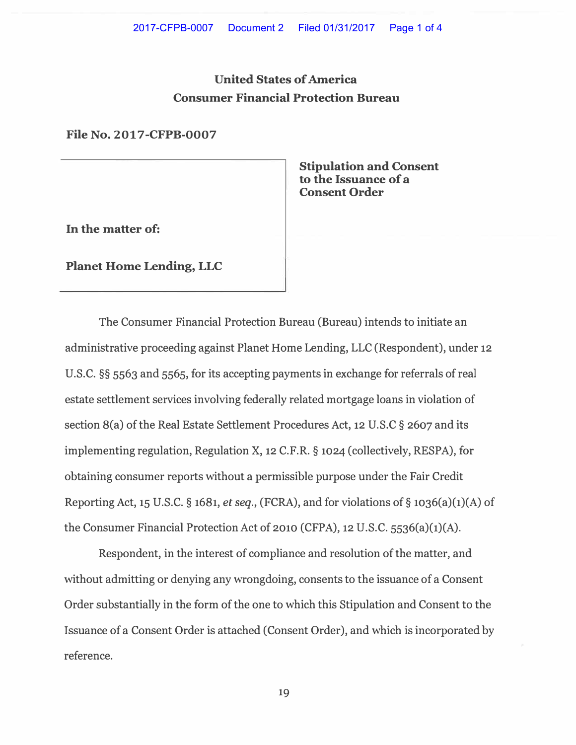# **United States of America Consumer Financial Protection Bureau**

**File No. 2017-CFPB-0007**

**Stipulation and Consent to the Issuance of a Consent Order** 

**In the matter of:** 

**Planet Home Lending, LLC** 

The Consumer Financial Protection Bureau (Bureau) intends to initiate an administrative proceeding against Planet Home Lending, LLC (Respondent), under 12 U.S.C. §§ 5563 and 5565, for its accepting payments in exchange for referrals of real estate settlement services involving federally related mortgage loans in violation of section 8(a) of the Real Estate Settlement Procedures Act, 12 U.S.C § 2607 and its implementing regulation, Regulation X, 12 C.F.R. § 1024 (collectively, RESPA), for obtaining consumer reports without a permissible purpose under the Fair Credit Reporting Act, 15 U.S.C. § 1681, *et seq.,* (FCRA), and for violations of§ 1036(a)(1)(A) of the Consumer Financial Protection Act of 2010 (CFPA), 12 U.S.C. 5536(a)(1)(A).

Respondent, in the interest of compliance and resolution of the matter, and without admitting or denying any wrongdoing, consents to the issuance of a Consent Order substantially in the form of the one to which this Stipulation and Consent to the Issuance of a Consent Order is attached (Consent Order), and which is incorporated by reference.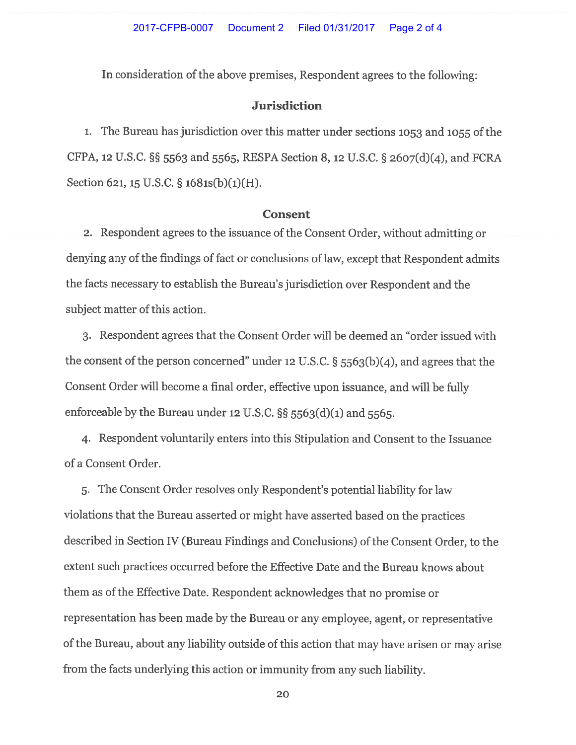#### 2017-CFPB-0007 Document 2 Filed 01/31/2017 Page 2 of 4

In consideration of the above premises, Respondent agrees to the following:

## **Jurisdiction**

1. The Bureau has jurisdiction over this matter under sections 1053 and 1055 of the CFPA, 12 U.S.C. §§ 5563 and 5565, RESPA Section 8, 12 U.S.C. § 2607(d)(4), and FCRA Section 621, 15 U.S.C.  $\S$  1681s(b)(1)(H).

### **Consent**

2. Respondent agrees to the issuance of the Consent Order, without admitting or denying any of the findings of fact or conclusions of law, except that Respondent admits the facts necessary to establish the Bureau's jurisdiction over Respondent and the subject matter of this action.

3. Respondent agrees that the Consent Order will be deemed an "order issued with the consent of the person concerned" under 12 U.S.C.  $\S$  5563(b)(4), and agrees that the Consent Order will become a final order, effective upon issuance, and will be fully enforceable by the Bureau under 12 U.S.C.  $\S$ § 5563(d)(1) and 5565.

4. Respondent voluntarily enters into this Stipulation and Consent to the Issuance of a Consent Order.

5. The Consent Order resolves only Respondent's potential liability for law violations that the Bureau asserted or might have asserted based on the practices described in Section IV (Bureau Findings and Conclusions) of the Consent Order, to the extent such practices occurred before the Effective Date and the Bureau knows about them as of the Effective Date. Respondent acknowledges that no promise or representation has been made by the Bureau or any employee, agent, or representative of the Bureau, about any liability outside of this action that may have arisen or may arise from the facts underlying this action or immunity from any such liability.

20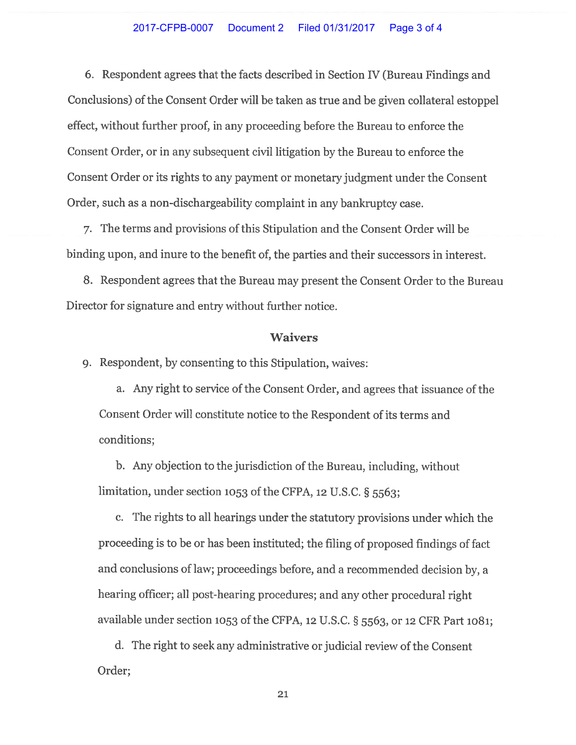#### 2017-CFPB-0007 Document 2 Filed 01/31/2017 Page 3 of 4

6. Respondent agrees that the facts described in Section IV (Bureau Findings and Conclusions) of the Consent Order will be taken as true and be given collateral estoppel effect, without further proof, in any proceeding before the Bureau to enforce the Consent Order, or in any subsequent civil litigation by the Bureau to enforce the Consent Order or its rights to any payment or monetary judgment under the Consent Order, such as a non-dischargeability complaint in any bankruptcy case.

7. The terms and provisions of this Stipulation and the Consent Order will be binding upon, and inure to the benefit of, the parties and their successors in interest.

8. Respondent agrees that the Bureau may present the Consent Order to the Bureau Director for signature and entry without further notice.

### **Waivers**

9. Respondent, by consenting to this Stipulation, waives:

a. Any right to service of the Consent Order, and agrees that issuance of the Consent Order will constitute notice to the Respondent of its terms and conditions;

b. Any objection to the jurisdiction of the Bureau, including, without limitation, under section 1053 of the CFPA, 12 U.S.C.  $\S$  5563;

c. The rights to all hearings under the statutory provisions under which the proceeding is to be or has been instituted; the filing of proposed findings of fact and conclusions of law; proceedings before, and a recommended decision by, a hearing officer; all post-hearing procedures; and any other procedural right available under section 1053 of the CFPA, 12 U.S.C. § 5563, or 12 CFR Part 1081;

d. The right to seek any administrative or judicial review of the Consent Order;

21